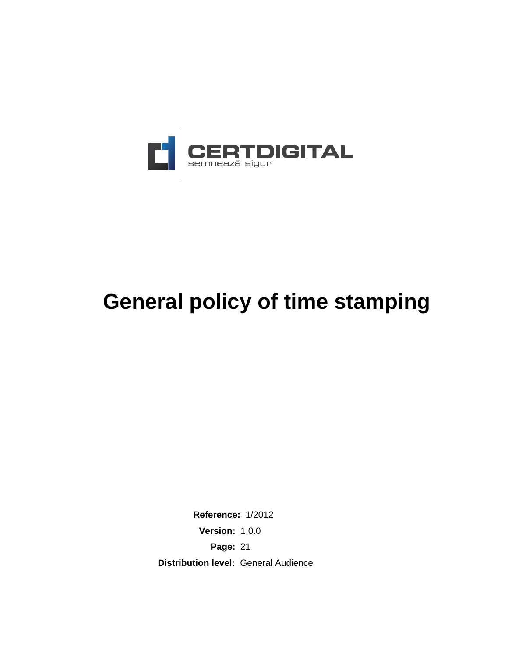

# **General policy of time stamping**

**Reference:** 1/2012 **Version:** 1.0.0 **Page:** 21 **Distribution level:** General Audience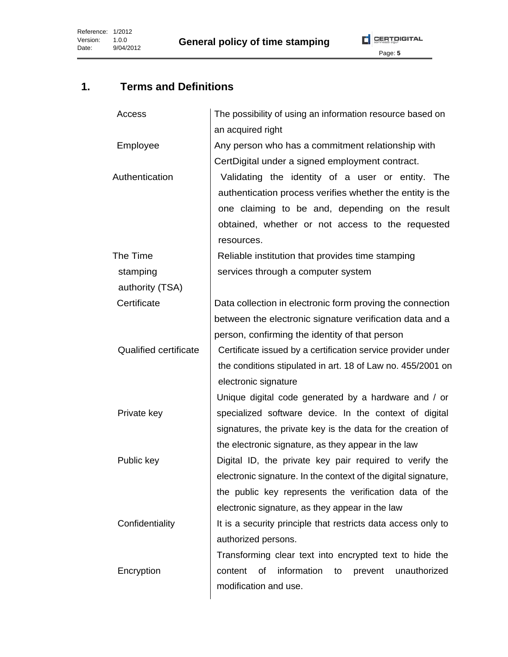

# **1. Terms and Definitions**

| Access                       | The possibility of using an information resource based on      |  |  |
|------------------------------|----------------------------------------------------------------|--|--|
|                              | an acquired right                                              |  |  |
| Employee                     | Any person who has a commitment relationship with              |  |  |
|                              | CertDigital under a signed employment contract.                |  |  |
| Authentication               | Validating the identity of a user or entity. The               |  |  |
|                              | authentication process verifies whether the entity is the      |  |  |
|                              | one claiming to be and, depending on the result                |  |  |
|                              | obtained, whether or not access to the requested               |  |  |
|                              | resources.                                                     |  |  |
| The Time                     | Reliable institution that provides time stamping               |  |  |
| stamping                     | services through a computer system                             |  |  |
| authority (TSA)              |                                                                |  |  |
| Certificate                  | Data collection in electronic form proving the connection      |  |  |
|                              | between the electronic signature verification data and a       |  |  |
|                              | person, confirming the identity of that person                 |  |  |
| <b>Qualified certificate</b> | Certificate issued by a certification service provider under   |  |  |
|                              | the conditions stipulated in art. 18 of Law no. 455/2001 on    |  |  |
|                              | electronic signature                                           |  |  |
|                              | Unique digital code generated by a hardware and / or           |  |  |
| Private key                  | specialized software device. In the context of digital         |  |  |
|                              | signatures, the private key is the data for the creation of    |  |  |
|                              | the electronic signature, as they appear in the law            |  |  |
| Public key                   | Digital ID, the private key pair required to verify the        |  |  |
|                              | electronic signature. In the context of the digital signature, |  |  |
|                              | the public key represents the verification data of the         |  |  |
|                              | electronic signature, as they appear in the law                |  |  |
| Confidentiality              | It is a security principle that restricts data access only to  |  |  |
|                              | authorized persons.                                            |  |  |
|                              | Transforming clear text into encrypted text to hide the        |  |  |
| Encryption                   | information<br>of<br>unauthorized<br>content<br>prevent<br>to  |  |  |
|                              | modification and use.                                          |  |  |
|                              |                                                                |  |  |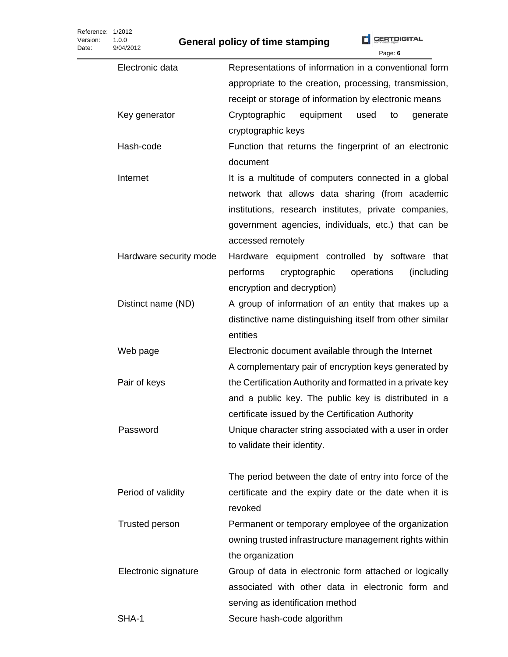Reference: 1/2012 Version: 1.0.0 Date:

|                        | Page: 6                                                    |
|------------------------|------------------------------------------------------------|
| Electronic data        | Representations of information in a conventional form      |
|                        | appropriate to the creation, processing, transmission,     |
|                        | receipt or storage of information by electronic means      |
| Key generator          | Cryptographic equipment<br>used<br>to<br>generate          |
|                        | cryptographic keys                                         |
| Hash-code              | Function that returns the fingerprint of an electronic     |
|                        | document                                                   |
| Internet               | It is a multitude of computers connected in a global       |
|                        | network that allows data sharing (from academic            |
|                        | institutions, research institutes, private companies,      |
|                        | government agencies, individuals, etc.) that can be        |
|                        | accessed remotely                                          |
| Hardware security mode | Hardware equipment controlled by software that             |
|                        | operations<br>performs<br>cryptographic<br>(including      |
|                        | encryption and decryption)                                 |
| Distinct name (ND)     | A group of information of an entity that makes up a        |
|                        | distinctive name distinguishing itself from other similar  |
|                        | entities                                                   |
| Web page               | Electronic document available through the Internet         |
|                        | A complementary pair of encryption keys generated by       |
| Pair of keys           | the Certification Authority and formatted in a private key |
|                        | and a public key. The public key is distributed in a       |
|                        | certificate issued by the Certification Authority          |
| Password               | Unique character string associated with a user in order    |
|                        | to validate their identity.                                |
|                        |                                                            |
|                        | The period between the date of entry into force of the     |
| Period of validity     | certificate and the expiry date or the date when it is     |
|                        | revoked                                                    |
| Trusted person         | Permanent or temporary employee of the organization        |
|                        | owning trusted infrastructure management rights within     |
|                        | the organization                                           |
| Electronic signature   | Group of data in electronic form attached or logically     |
|                        | associated with other data in electronic form and          |
|                        | serving as identification method                           |
| SHA-1                  | Secure hash-code algorithm                                 |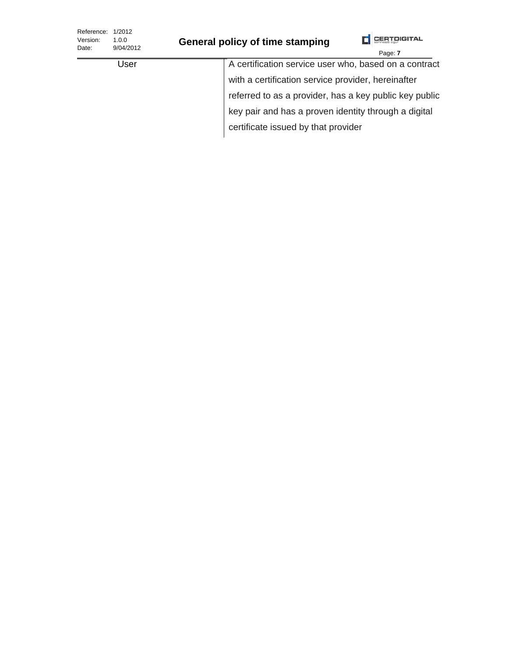| Reference:<br>Version:<br>Date: | 1/2012<br>1.0.0<br>9/04/2012 | <b>General policy of time stamping</b>               | <b>CERTDIGITAL</b><br>Page: 7                          |
|---------------------------------|------------------------------|------------------------------------------------------|--------------------------------------------------------|
|                                 | User                         |                                                      | A certification service user who, based on a contract  |
|                                 |                              | with a certification service provider, hereinafter   |                                                        |
|                                 |                              |                                                      | referred to as a provider, has a key public key public |
|                                 |                              | key pair and has a proven identity through a digital |                                                        |
|                                 |                              | certificate issued by that provider                  |                                                        |
|                                 |                              |                                                      |                                                        |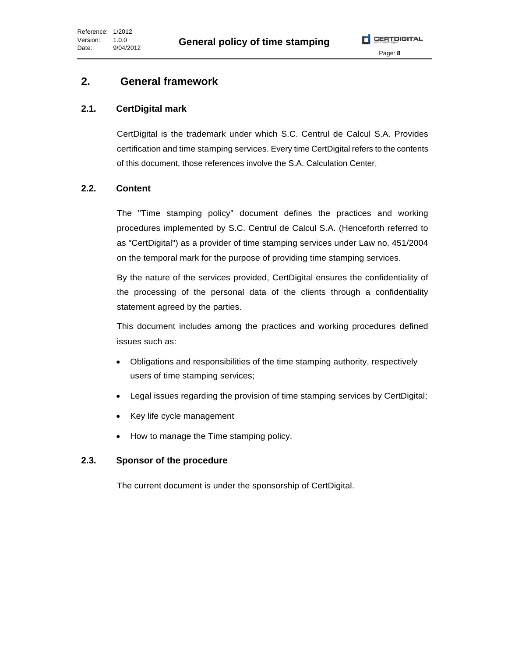# **2. General framework**

# **2.1. CertDigital mark**

CertDigital is the trademark under which S.C. Centrul de Calcul S.A. Provides certification and time stamping services. Every time CertDigital refers to the contents of this document, those references involve the S.A. Calculation Center.

## **2.2. Content**

The "Time stamping policy" document defines the practices and working procedures implemented by S.C. Centrul de Calcul S.A. (Henceforth referred to as "CertDigital") as a provider of time stamping services under Law no. 451/2004 on the temporal mark for the purpose of providing time stamping services.

By the nature of the services provided, CertDigital ensures the confidentiality of the processing of the personal data of the clients through a confidentiality statement agreed by the parties.

This document includes among the practices and working procedures defined issues such as:

- Obligations and responsibilities of the time stamping authority, respectively users of time stamping services;
- Legal issues regarding the provision of time stamping services by CertDigital;
- Key life cycle management
- How to manage the Time stamping policy.

# **2.3. Sponsor of the procedure**

The current document is under the sponsorship of CertDigital.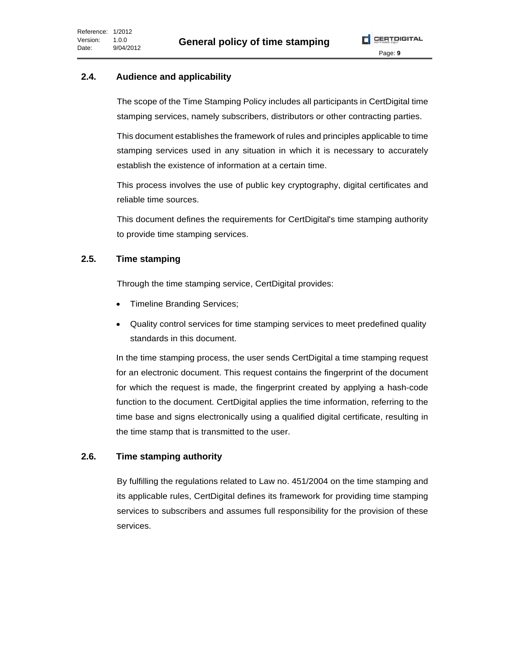

#### **2.4. Audience and applicability**

The scope of the Time Stamping Policy includes all participants in CertDigital time stamping services, namely subscribers, distributors or other contracting parties.

This document establishes the framework of rules and principles applicable to time stamping services used in any situation in which it is necessary to accurately establish the existence of information at a certain time.

This process involves the use of public key cryptography, digital certificates and reliable time sources.

This document defines the requirements for CertDigital's time stamping authority to provide time stamping services.

#### **2.5. Time stamping**

Through the time stamping service, CertDigital provides:

- Timeline Branding Services;
- Quality control services for time stamping services to meet predefined quality standards in this document.

In the time stamping process, the user sends CertDigital a time stamping request for an electronic document. This request contains the fingerprint of the document for which the request is made, the fingerprint created by applying a hash-code function to the document. CertDigital applies the time information, referring to the time base and signs electronically using a qualified digital certificate, resulting in the time stamp that is transmitted to the user.

#### **2.6. Time stamping authority**

By fulfilling the regulations related to Law no. 451/2004 on the time stamping and its applicable rules, CertDigital defines its framework for providing time stamping services to subscribers and assumes full responsibility for the provision of these services.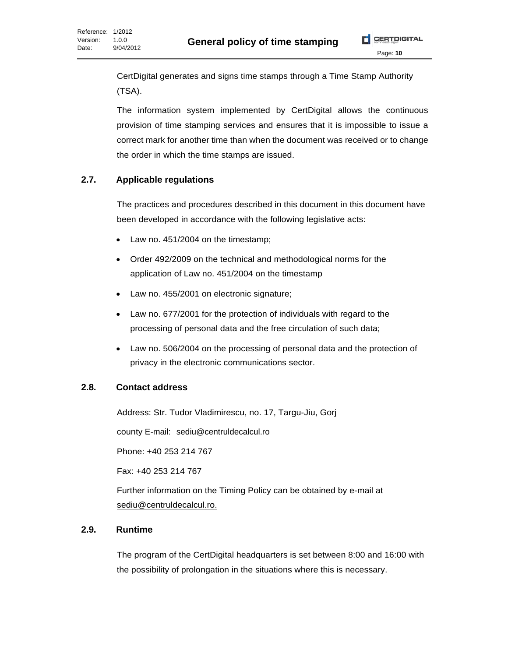CertDigital generates and signs time stamps through a Time Stamp Authority (TSA).

The information system implemented by CertDigital allows the continuous provision of time stamping services and ensures that it is impossible to issue a correct mark for another time than when the document was received or to change the order in which the time stamps are issued.

#### **2.7. Applicable regulations**

The practices and procedures described in this document in this document have been developed in accordance with the following legislative acts:

- Law no. 451/2004 on the timestamp;
- Order 492/2009 on the technical and methodological norms for the application of Law no. 451/2004 on the timestamp
- Law no. 455/2001 on electronic signature;
- Law no. 677/2001 for the protection of individuals with regard to the processing of personal data and the free circulation of such data;
- Law no. 506/2004 on the processing of personal data and the protection of privacy in the electronic communications sector.

#### **2.8. Contact address**

Address: Str. Tudor Vladimirescu, no. 17, Targu-Jiu, Gorj

county E-mail: [sediu@centruldecalcul.ro](mailto:sediu@centruldecalcul.ro)

Phone: +40 253 214 767

Fax: +40 253 214 767

Further information on the Timing Policy can be obtained by e-mail at sediu@centruldecalcul.ro.

#### **2.9. Runtime**

The program of the CertDigital headquarters is set between 8:00 and 16:00 with the possibility of prolongation in the situations where this is necessary.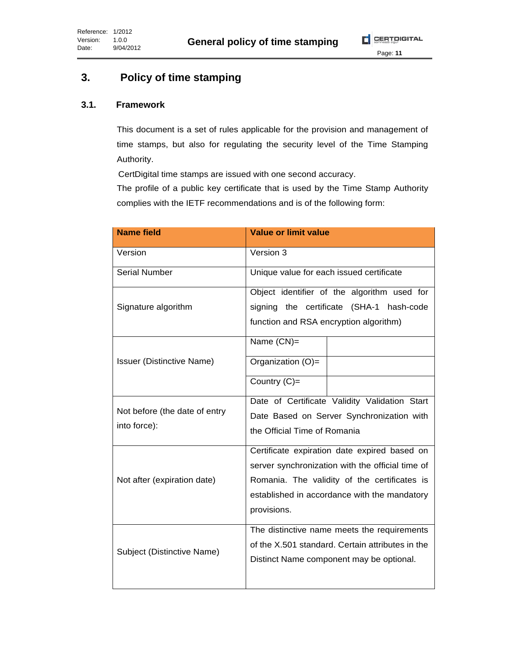# **3. Policy of time stamping**

#### **3.1. Framework**

This document is a set of rules applicable for the provision and management of time stamps, but also for regulating the security level of the Time Stamping Authority.

CertDigital time stamps are issued with one second accuracy.

The profile of a public key certificate that is used by the Time Stamp Authority complies with the IETF recommendations and is of the following form:

| <b>Name field</b>                             | <b>Value or limit value</b>                                                                                                                                                                                     |
|-----------------------------------------------|-----------------------------------------------------------------------------------------------------------------------------------------------------------------------------------------------------------------|
| Version                                       | Version 3                                                                                                                                                                                                       |
| <b>Serial Number</b>                          | Unique value for each issued certificate                                                                                                                                                                        |
| Signature algorithm                           | Object identifier of the algorithm used for<br>signing the certificate (SHA-1<br>hash-code<br>function and RSA encryption algorithm)                                                                            |
|                                               | Name (CN)=                                                                                                                                                                                                      |
| <b>Issuer (Distinctive Name)</b>              | Organization (O)=                                                                                                                                                                                               |
|                                               | Country (C)=                                                                                                                                                                                                    |
| Not before (the date of entry<br>into force): | Date of Certificate Validity Validation Start<br>Date Based on Server Synchronization with<br>the Official Time of Romania                                                                                      |
| Not after (expiration date)                   | Certificate expiration date expired based on<br>server synchronization with the official time of<br>Romania. The validity of the certificates is<br>established in accordance with the mandatory<br>provisions. |
| Subject (Distinctive Name)                    | The distinctive name meets the requirements<br>of the X.501 standard. Certain attributes in the<br>Distinct Name component may be optional.                                                                     |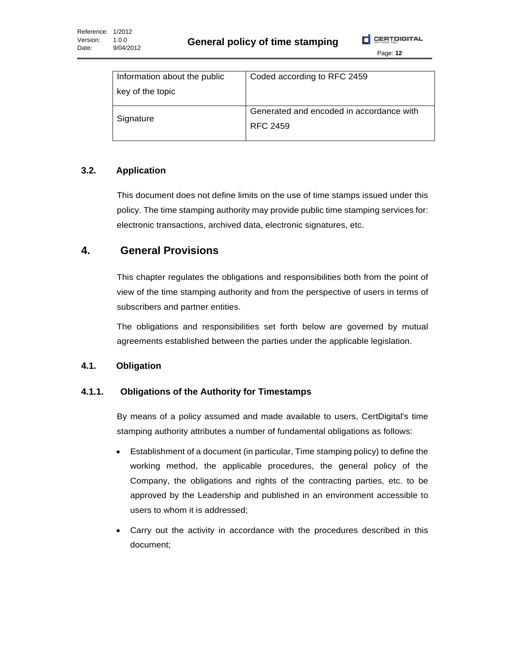

| Information about the public | Coded according to RFC 2459                          |  |
|------------------------------|------------------------------------------------------|--|
| key of the topic             |                                                      |  |
| Signature                    | Generated and encoded in accordance with<br>RFC 2459 |  |

#### **3.2. Application**

This document does not define limits on the use of time stamps issued under this policy. The time stamping authority may provide public time stamping services for: electronic transactions, archived data, electronic signatures, etc.

### **4. General Provisions**

This chapter regulates the obligations and responsibilities both from the point of view of the time stamping authority and from the perspective of users in terms of subscribers and partner entities.

The obligations and responsibilities set forth below are governed by mutual agreements established between the parties under the applicable legislation.

#### **4.1. Obligation**

#### **4.1.1. Obligations of the Authority for Timestamps**

By means of a policy assumed and made available to users, CertDigital's time stamping authority attributes a number of fundamental obligations as follows:

- Establishment of a document (in particular, Time stamping policy) to define the working method, the applicable procedures, the general policy of the Company, the obligations and rights of the contracting parties, etc. to be approved by the Leadership and published in an environment accessible to users to whom it is addressed;
- Carry out the activity in accordance with the procedures described in this document;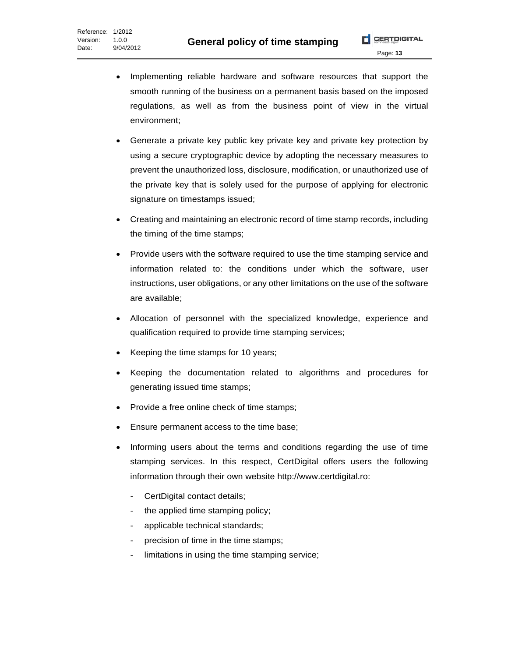- Implementing reliable hardware and software resources that support the smooth running of the business on a permanent basis based on the imposed regulations, as well as from the business point of view in the virtual environment;
- Generate a private key public key private key and private key protection by using a secure cryptographic device by adopting the necessary measures to prevent the unauthorized loss, disclosure, modification, or unauthorized use of the private key that is solely used for the purpose of applying for electronic signature on timestamps issued;
- Creating and maintaining an electronic record of time stamp records, including the timing of the time stamps;
- Provide users with the software required to use the time stamping service and information related to: the conditions under which the software, user instructions, user obligations, or any other limitations on the use of the software are available;
- Allocation of personnel with the specialized knowledge, experience and qualification required to provide time stamping services;
- Keeping the time stamps for 10 years;
- Keeping the documentation related to algorithms and procedures for generating issued time stamps;
- Provide a free online check of time stamps;
- Ensure permanent access to the time base;
- Informing users about the terms and conditions regarding the use of time stamping services. In this respect, CertDigital offers users the following information through their own website http://www.certdigital.ro:
	- CertDigital contact details;
	- the applied time stamping policy;
	- applicable technical standards;
	- precision of time in the time stamps;
	- limitations in using the time stamping service;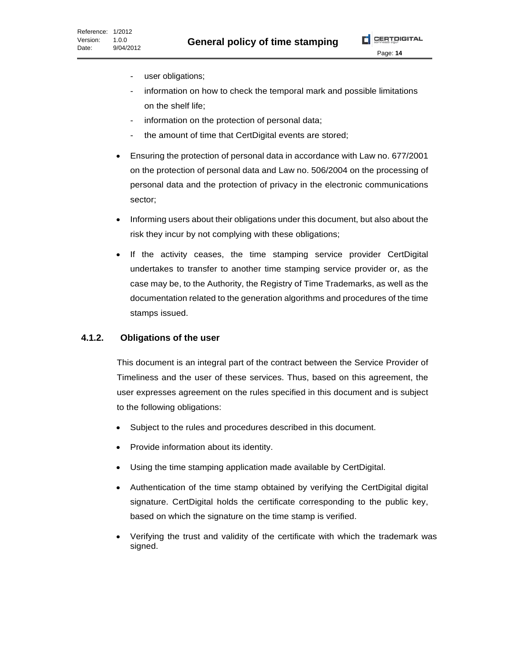Page: **14**

- user obligations;
- information on how to check the temporal mark and possible limitations on the shelf life;
- information on the protection of personal data;
- the amount of time that CertDigital events are stored;
- Ensuring the protection of personal data in accordance with Law no. 677/2001 on the protection of personal data and Law no. 506/2004 on the processing of personal data and the protection of privacy in the electronic communications sector;
- Informing users about their obligations under this document, but also about the risk they incur by not complying with these obligations;
- If the activity ceases, the time stamping service provider CertDigital undertakes to transfer to another time stamping service provider or, as the case may be, to the Authority, the Registry of Time Trademarks, as well as the documentation related to the generation algorithms and procedures of the time stamps issued.

#### **4.1.2. Obligations of the user**

This document is an integral part of the contract between the Service Provider of Timeliness and the user of these services. Thus, based on this agreement, the user expresses agreement on the rules specified in this document and is subject to the following obligations:

- Subject to the rules and procedures described in this document.
- Provide information about its identity.
- Using the time stamping application made available by CertDigital.
- Authentication of the time stamp obtained by verifying the CertDigital digital signature. CertDigital holds the certificate corresponding to the public key, based on which the signature on the time stamp is verified.
- Verifying the trust and validity of the certificate with which the trademark was signed.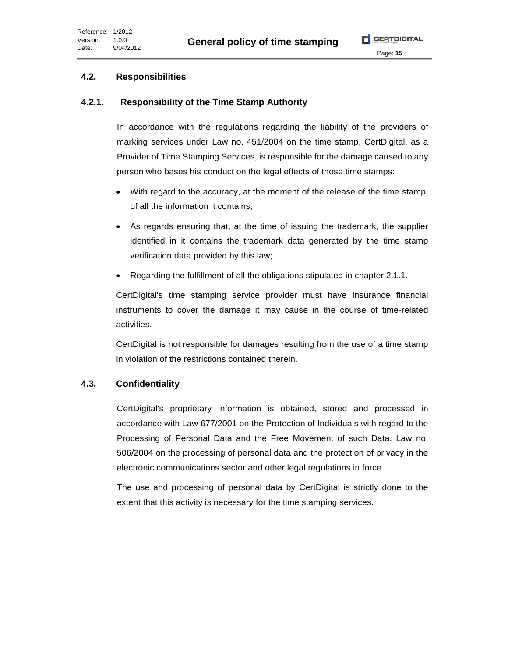#### **4.2. Responsibilities**

#### **4.2.1. Responsibility of the Time Stamp Authority**

In accordance with the regulations regarding the liability of the providers of marking services under Law no. 451/2004 on the time stamp, CertDigital, as a Provider of Time Stamping Services, is responsible for the damage caused to any person who bases his conduct on the legal effects of those time stamps:

- With regard to the accuracy, at the moment of the release of the time stamp, of all the information it contains;
- As regards ensuring that, at the time of issuing the trademark, the supplier identified in it contains the trademark data generated by the time stamp verification data provided by this law;
- Regarding the fulfillment of all the obligations stipulated in chapter 2.1.1.

CertDigital's time stamping service provider must have insurance financial instruments to cover the damage it may cause in the course of time-related activities.

CertDigital is not responsible for damages resulting from the use of a time stamp in violation of the restrictions contained therein.

#### **4.3. Confidentiality**

CertDigital's proprietary information is obtained, stored and processed in accordance with Law 677/2001 on the Protection of Individuals with regard to the Processing of Personal Data and the Free Movement of such Data, Law no. 506/2004 on the processing of personal data and the protection of privacy in the electronic communications sector and other legal regulations in force.

The use and processing of personal data by CertDigital is strictly done to the extent that this activity is necessary for the time stamping services.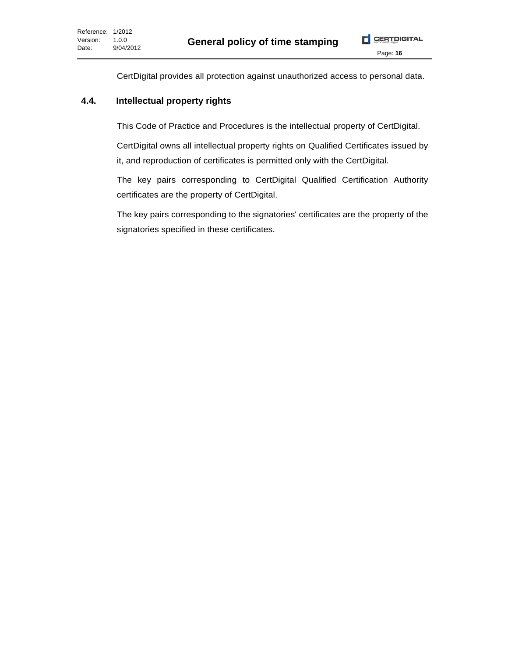CertDigital provides all protection against unauthorized access to personal data.

#### **4.4. Intellectual property rights**

This Code of Practice and Procedures is the intellectual property of CertDigital.

CertDigital owns all intellectual property rights on Qualified Certificates issued by it, and reproduction of certificates is permitted only with the CertDigital.

The key pairs corresponding to CertDigital Qualified Certification Authority certificates are the property of CertDigital.

The key pairs corresponding to the signatories' certificates are the property of the signatories specified in these certificates.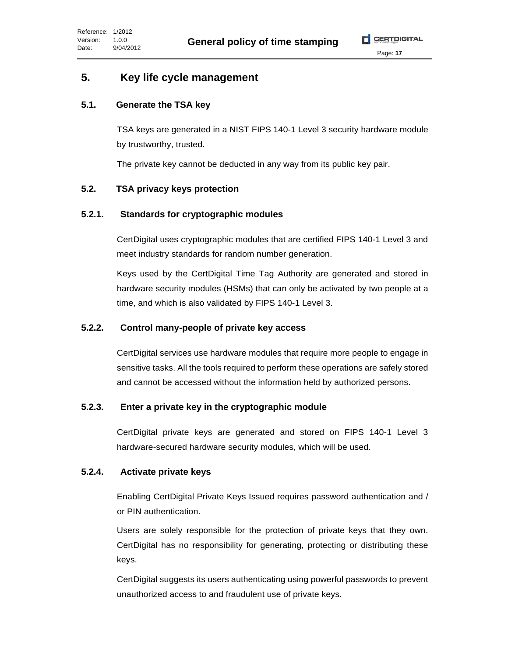$$
\boxed{\phantom{1}}
$$
  $\boxed{\phantom{1}}$   $\boxed{\phantom{1}}$   $\boxed{\phantom{1}}$   $\boxed{\phantom{1}}$   $\boxed{\phantom{1}}$ 

## **5. Key life cycle management**

#### **5.1. Generate the TSA key**

TSA keys are generated in a NIST FIPS 140-1 Level 3 security hardware module by trustworthy, trusted.

The private key cannot be deducted in any way from its public key pair.

#### **5.2. TSA privacy keys protection**

#### **5.2.1. Standards for cryptographic modules**

CertDigital uses cryptographic modules that are certified FIPS 140-1 Level 3 and meet industry standards for random number generation.

Keys used by the CertDigital Time Tag Authority are generated and stored in hardware security modules (HSMs) that can only be activated by two people at a time, and which is also validated by FIPS 140-1 Level 3.

#### **5.2.2. Control many-people of private key access**

CertDigital services use hardware modules that require more people to engage in sensitive tasks. All the tools required to perform these operations are safely stored and cannot be accessed without the information held by authorized persons.

#### **5.2.3. Enter a private key in the cryptographic module**

CertDigital private keys are generated and stored on FIPS 140-1 Level 3 hardware-secured hardware security modules, which will be used.

#### **5.2.4. Activate private keys**

Enabling CertDigital Private Keys Issued requires password authentication and / or PIN authentication.

Users are solely responsible for the protection of private keys that they own. CertDigital has no responsibility for generating, protecting or distributing these keys.

CertDigital suggests its users authenticating using powerful passwords to prevent unauthorized access to and fraudulent use of private keys.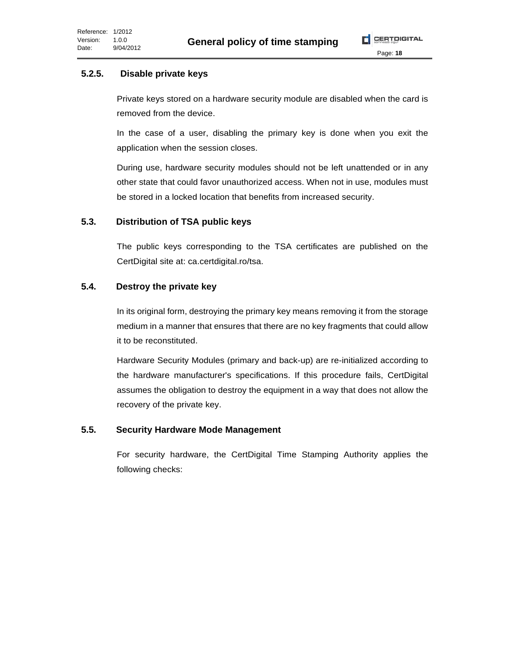Page: **18**

#### **5.2.5. Disable private keys**

Private keys stored on a hardware security module are disabled when the card is removed from the device.

In the case of a user, disabling the primary key is done when you exit the application when the session closes.

During use, hardware security modules should not be left unattended or in any other state that could favor unauthorized access. When not in use, modules must be stored in a locked location that benefits from increased security.

#### **5.3. Distribution of TSA public keys**

The public keys corresponding to the TSA certificates are published on the CertDigital site at: ca.certdigital.ro/tsa.

#### **5.4. Destroy the private key**

In its original form, destroying the primary key means removing it from the storage medium in a manner that ensures that there are no key fragments that could allow it to be reconstituted.

Hardware Security Modules (primary and back-up) are re-initialized according to the hardware manufacturer's specifications. If this procedure fails, CertDigital assumes the obligation to destroy the equipment in a way that does not allow the recovery of the private key.

#### **5.5. Security Hardware Mode Management**

For security hardware, the CertDigital Time Stamping Authority applies the following checks: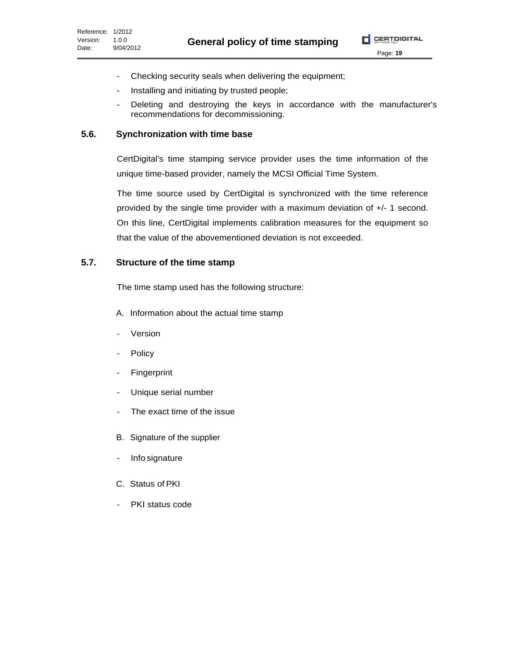Page: **19**

- Checking security seals when delivering the equipment;
- Installing and initiating by trusted people;
- Deleting and destroying the keys in accordance with the manufacturer's recommendations for decommissioning.

#### **5.6. Synchronization with time base**

CertDigital's time stamping service provider uses the time information of the unique time-based provider, namely the MCSI Official Time System.

The time source used by CertDigital is synchronized with the time reference provided by the single time provider with a maximum deviation of +/- 1 second. On this line, CertDigital implements calibration measures for the equipment so that the value of the abovementioned deviation is not exceeded.

#### **5.7. Structure of the time stamp**

The time stamp used has the following structure:

- A. Information about the actual time stamp
- Version
- Policy
- Fingerprint
- Unique serial number
- The exact time of the issue
- B. Signature of the supplier
- Info signature
- C. Status of PKI
- PKI status code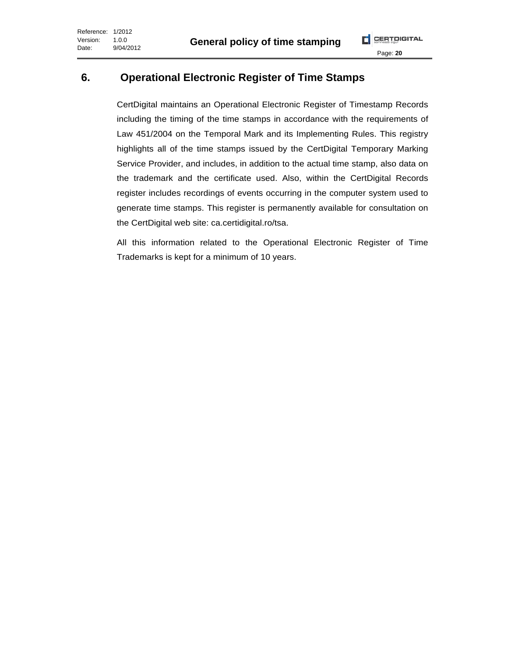# **6. Operational Electronic Register of Time Stamps**

CertDigital maintains an Operational Electronic Register of Timestamp Records including the timing of the time stamps in accordance with the requirements of Law 451/2004 on the Temporal Mark and its Implementing Rules. This registry highlights all of the time stamps issued by the CertDigital Temporary Marking Service Provider, and includes, in addition to the actual time stamp, also data on the trademark and the certificate used. Also, within the CertDigital Records register includes recordings of events occurring in the computer system used to generate time stamps. This register is permanently available for consultation on the CertDigital web site: ca.certidigital.ro/tsa.

All this information related to the Operational Electronic Register of Time Trademarks is kept for a minimum of 10 years.